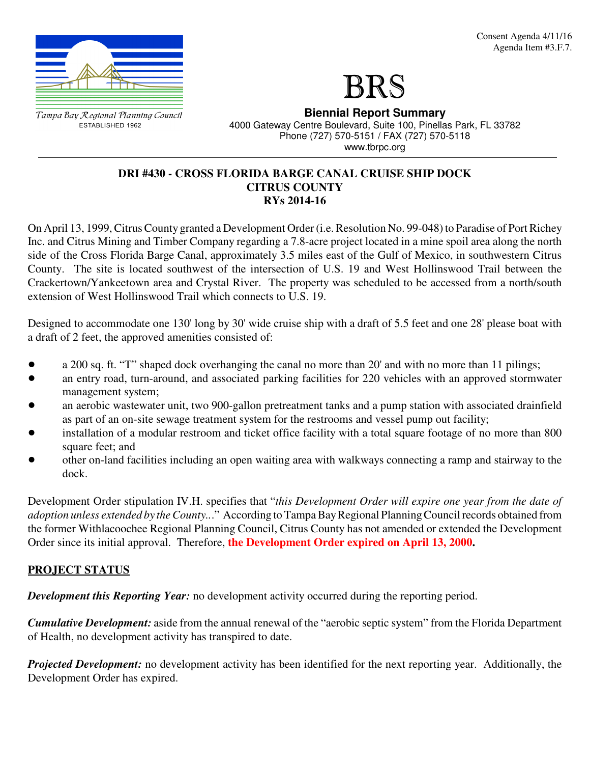

Tampa Bay Regional Planning Council ESTABLISHED 1962

**Biennial Report Summary** 4000 Gateway Centre Boulevard, Suite 100, Pinellas Park, FL 33782 Phone (727) 570-5151 / FAX (727) 570-5118 www.tbrpc.org

#### **DRI #430 - CROSS FLORIDA BARGE CANAL CRUISE SHIP DOCK CITRUS COUNTY RYs 2014-16**

On April 13, 1999, Citrus County granted a Development Order (i.e. Resolution No. 99-048) to Paradise of Port Richey Inc. and Citrus Mining and Timber Company regarding a 7.8-acre project located in a mine spoil area along the north side of the Cross Florida Barge Canal, approximately 3.5 miles east of the Gulf of Mexico, in southwestern Citrus County. The site is located southwest of the intersection of U.S. 19 and West Hollinswood Trail between the Crackertown/Yankeetown area and Crystal River. The property was scheduled to be accessed from a north/south extension of West Hollinswood Trail which connects to U.S. 19.

Designed to accommodate one 130' long by 30' wide cruise ship with a draft of 5.5 feet and one 28' please boat with a draft of 2 feet, the approved amenities consisted of:

- a 200 sq. ft. "T" shaped dock overhanging the canal no more than 20' and with no more than 11 pilings;
- ! an entry road, turn-around, and associated parking facilities for 220 vehicles with an approved stormwater management system;
- an aerobic wastewater unit, two 900-gallon pretreatment tanks and a pump station with associated drainfield as part of an on-site sewage treatment system for the restrooms and vessel pump out facility;
- ! installation of a modular restroom and ticket office facility with a total square footage of no more than 800 square feet; and
- ! other on-land facilities including an open waiting area with walkways connecting a ramp and stairway to the dock.

Development Order stipulation IV.H. specifies that "*this Development Order will expire one year from the date of adoption unless extended by the County..*." According to Tampa Bay Regional Planning Council records obtained from the former Withlacoochee Regional Planning Council, Citrus County has not amended or extended the Development Order since its initial approval. Therefore, **the Development Order expired on April 13, 2000.**

# **PROJECT STATUS**

*Development this Reporting Year:* no development activity occurred during the reporting period.

*Cumulative Development:* aside from the annual renewal of the "aerobic septic system" from the Florida Department of Health, no development activity has transpired to date.

*Projected Development:* no development activity has been identified for the next reporting year. Additionally, the Development Order has expired.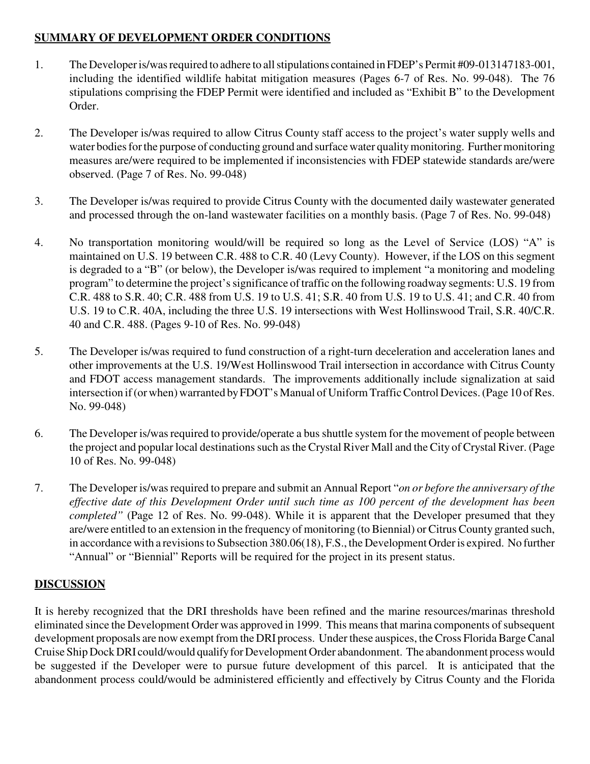# **SUMMARY OF DEVELOPMENT ORDER CONDITIONS**

- 1. The Developer is/was required to adhere to all stipulations contained in FDEP's Permit #09-013147183-001, including the identified wildlife habitat mitigation measures (Pages 6-7 of Res. No. 99-048). The 76 stipulations comprising the FDEP Permit were identified and included as "Exhibit B" to the Development Order.
- 2. The Developer is/was required to allow Citrus County staff access to the project's water supply wells and water bodies for the purpose of conducting ground and surface water quality monitoring. Further monitoring measures are/were required to be implemented if inconsistencies with FDEP statewide standards are/were observed. (Page 7 of Res. No. 99-048)
- 3. The Developer is/was required to provide Citrus County with the documented daily wastewater generated and processed through the on-land wastewater facilities on a monthly basis. (Page 7 of Res. No. 99-048)
- 4. No transportation monitoring would/will be required so long as the Level of Service (LOS) "A" is maintained on U.S. 19 between C.R. 488 to C.R. 40 (Levy County). However, if the LOS on this segment is degraded to a "B" (or below), the Developer is/was required to implement "a monitoring and modeling program" to determine the project's significance of traffic on the following roadway segments: U.S. 19 from C.R. 488 to S.R. 40; C.R. 488 from U.S. 19 to U.S. 41; S.R. 40 from U.S. 19 to U.S. 41; and C.R. 40 from U.S. 19 to C.R. 40A, including the three U.S. 19 intersections with West Hollinswood Trail, S.R. 40/C.R. 40 and C.R. 488. (Pages 9-10 of Res. No. 99-048)
- 5. The Developer is/was required to fund construction of a right-turn deceleration and acceleration lanes and other improvements at the U.S. 19/West Hollinswood Trail intersection in accordance with Citrus County and FDOT access management standards. The improvements additionally include signalization at said intersection if (or when) warranted by FDOT's Manual of Uniform Traffic Control Devices. (Page 10 of Res. No. 99-048)
- 6. The Developer is/was required to provide/operate a bus shuttle system for the movement of people between the project and popular local destinations such as the Crystal River Mall and the City of Crystal River. (Page 10 of Res. No. 99-048)
- 7. The Developer is/was required to prepare and submit an Annual Report "*on or before the anniversary of the effective date of this Development Order until such time as 100 percent of the development has been completed"* (Page 12 of Res. No. 99-048). While it is apparent that the Developer presumed that they are/were entitled to an extension in the frequency of monitoring (to Biennial) or Citrus County granted such, in accordance with a revisions to Subsection 380.06(18), F.S., the Development Order is expired. No further "Annual" or "Biennial" Reports will be required for the project in its present status.

# **DISCUSSION**

It is hereby recognized that the DRI thresholds have been refined and the marine resources/marinas threshold eliminated since the Development Order was approved in 1999. This means that marina components of subsequent development proposals are now exempt from the DRI process. Under these auspices, the Cross Florida Barge Canal Cruise Ship Dock DRI could/would qualify for Development Order abandonment. The abandonment process would be suggested if the Developer were to pursue future development of this parcel. It is anticipated that the abandonment process could/would be administered efficiently and effectively by Citrus County and the Florida